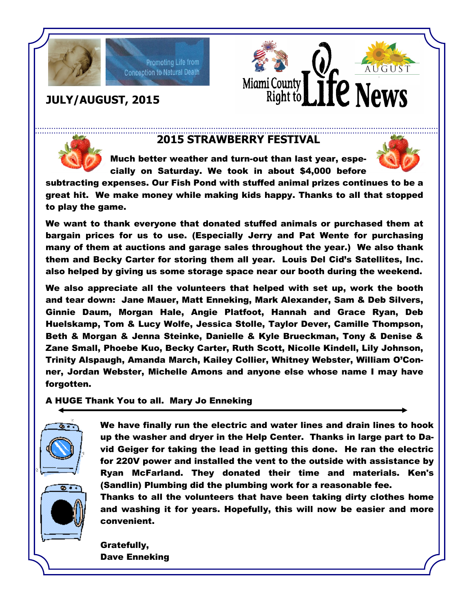

# Promoting Life from **Conception to Natural Death**





## **2015 STRAWBERRY FESTIVAL**

Much better weather and turn-out than last year, especially on Saturday. We took in about \$4,000 before



subtracting expenses. Our Fish Pond with stuffed animal prizes continues to be a great hit. We make money while making kids happy. Thanks to all that stopped to play the game.

We want to thank everyone that donated stuffed animals or purchased them at bargain prices for us to use. (Especially Jerry and Pat Wente for purchasing many of them at auctions and garage sales throughout the year.) We also thank them and Becky Carter for storing them all year. Louis Del Cid's Satellites, Inc. also helped by giving us some storage space near our booth during the weekend.

We also appreciate all the volunteers that helped with set up, work the booth and tear down: Jane Mauer, Matt Enneking, Mark Alexander, Sam & Deb Silvers, Ginnie Daum, Morgan Hale, Angie Platfoot, Hannah and Grace Ryan, Deb Huelskamp, Tom & Lucy Wolfe, Jessica Stolle, Taylor Dever, Camille Thompson, Beth & Morgan & Jenna Steinke, Danielle & Kyle Brueckman, Tony & Denise & Zane Small, Phoebe Kuo, Becky Carter, Ruth Scott, Nicolle Kindell, Lily Johnson, Trinity Alspaugh, Amanda March, Kailey Collier, Whitney Webster, William O'Conner, Jordan Webster, Michelle Amons and anyone else whose name I may have forgotten.

A HUGE Thank You to all. Mary Jo Enneking



We have finally run the electric and water lines and drain lines to hook up the washer and dryer in the Help Center. Thanks in large part to David Geiger for taking the lead in getting this done. He ran the electric for 220V power and installed the vent to the outside with assistance by Ryan McFarland. They donated their time and materials. Ken's (Sandlin) Plumbing did the plumbing work for a reasonable fee.

Thanks to all the volunteers that have been taking dirty clothes home and washing it for years. Hopefully, this will now be easier and more convenient.

Gratefully, Dave Enneking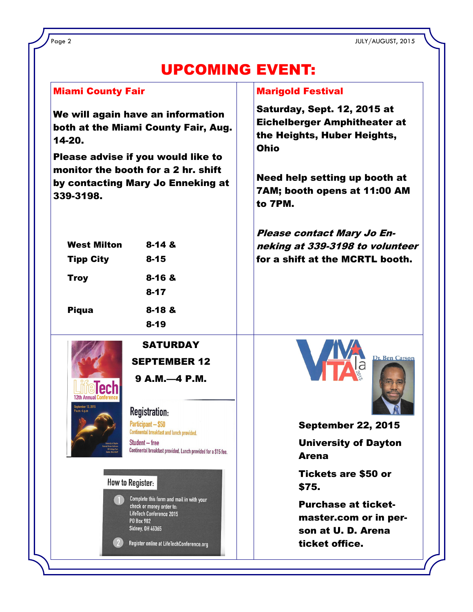Page 2 JULY/AUGUST, 2015

# UPCOMING EVENT:

| <b>Miami County Fair</b>                                                                                                                                                                                                                            | <b>Marigold Festival</b>                                                                                                                                                                     |
|-----------------------------------------------------------------------------------------------------------------------------------------------------------------------------------------------------------------------------------------------------|----------------------------------------------------------------------------------------------------------------------------------------------------------------------------------------------|
| We will again have an information<br>both at the Miami County Fair, Aug.<br>14-20.<br>Please advise if you would like to<br>monitor the booth for a 2 hr. shift<br>by contacting Mary Jo Enneking at<br>339-3198.                                   | Saturday, Sept. 12, 2015 at<br><b>Eichelberger Amphitheater at</b><br>the Heights, Huber Heights,<br><b>Ohio</b><br>Need help setting up booth at<br>7AM; booth opens at 11:00 AM<br>to 7PM. |
| <b>West Milton</b><br>$8 - 148$<br><b>Tipp City</b><br>$8 - 15$<br>$8 - 16$ &<br><b>Troy</b><br>$8 - 17$<br>$8 - 18$ &<br><b>Piqua</b><br>$8 - 19$                                                                                                  | Please contact Mary Jo En-<br>neking at 339-3198 to volunteer<br>for a shift at the MCRTL booth.                                                                                             |
| <b>SATURDAY</b><br><b>SEPTEMBER 12</b><br>9 A.M.-4 P.M.<br><b>Registration:</b><br>$9am-4nm$<br>Participant - \$50<br>Continental breakfast and lunch provided.<br>Student - free<br>Continental breakfast provided. Lunch provided for a \$15 fee. | Dr. Ben Carson<br><b>September 22, 2015</b><br><b>University of Dayton</b><br><b>Arena</b>                                                                                                   |
| <b>How to Register:</b><br>Complete this form and mail in with your<br>check or money order to:<br>LifeTech Conference 2015<br><b>PO Box 982</b><br><b>Sidney, OH 45365</b><br>Register online at LifeTechConference.org                            | <b>Tickets are \$50 or</b><br>\$75.<br><b>Purchase at ticket-</b><br>master.com or in per-<br>son at U. D. Arena<br>ticket office.                                                           |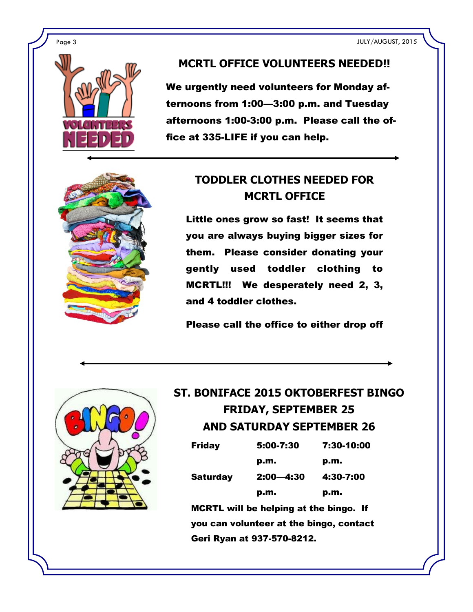Page 3 JULY/AUGUST, 2015



#### **MCRTL OFFICE VOLUNTEERS NEEDED!!**

We urgently need volunteers for Monday afternoons from 1:00—3:00 p.m. and Tuesday afternoons 1:00-3:00 p.m. Please call the office at 335-LIFE if you can help.



# **TODDLER CLOTHES NEEDED FOR MCRTL OFFICE**

Little ones grow so fast! It seems that you are always buying bigger sizes for them. Please consider donating your gently used toddler clothing to MCRTL!!! We desperately need 2, 3, and 4 toddler clothes.

Please call the office to either drop off



# **ST. BONIFACE 2015 OKTOBERFEST BINGO FRIDAY, SEPTEMBER 25 AND SATURDAY SEPTEMBER 26**

| Friday   | 5:00-7:30     | 7:30-10:00 |
|----------|---------------|------------|
|          | p.m.          | p.m.       |
| Saturday | $2:00 - 4:30$ | 4:30-7:00  |
|          | p.m.          | p.m.       |

MCRTL will be helping at the bingo. If you can volunteer at the bingo, contact Geri Ryan at 937-570-8212.